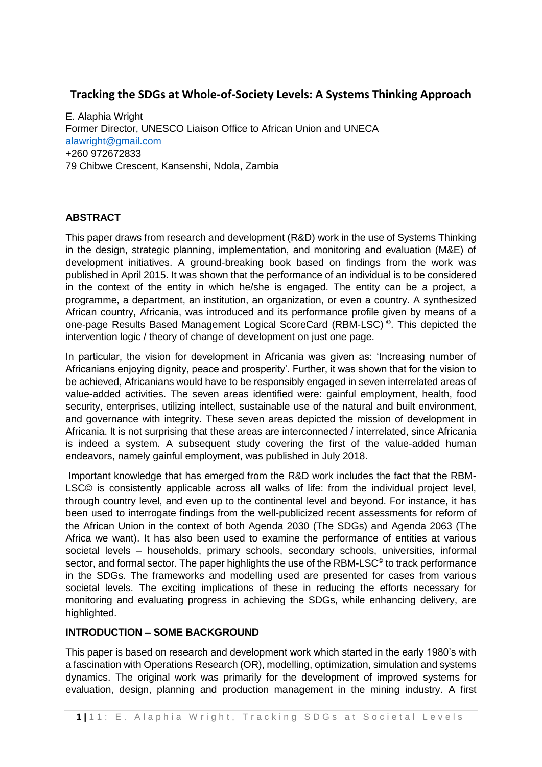# **Tracking the SDGs at Whole-of-Society Levels: A Systems Thinking Approach**

E. Alaphia Wright Former Director, UNESCO Liaison Office to African Union and UNECA [alawright@gmail.com](mailto:alawright@gmail.com) +260 972672833 79 Chibwe Crescent, Kansenshi, Ndola, Zambia

# **ABSTRACT**

This paper draws from research and development (R&D) work in the use of Systems Thinking in the design, strategic planning, implementation, and monitoring and evaluation (M&E) of development initiatives. A ground-breaking book based on findings from the work was published in April 2015. It was shown that the performance of an individual is to be considered in the context of the entity in which he/she is engaged. The entity can be a project, a programme, a department, an institution, an organization, or even a country. A synthesized African country, Africania, was introduced and its performance profile given by means of a one-page Results Based Management Logical ScoreCard (RBM-LSC) **©** . This depicted the intervention logic / theory of change of development on just one page.

In particular, the vision for development in Africania was given as: 'Increasing number of Africanians enjoying dignity, peace and prosperity'. Further, it was shown that for the vision to be achieved, Africanians would have to be responsibly engaged in seven interrelated areas of value-added activities. The seven areas identified were: gainful employment, health, food security, enterprises, utilizing intellect, sustainable use of the natural and built environment, and governance with integrity. These seven areas depicted the mission of development in Africania. It is not surprising that these areas are interconnected / interrelated, since Africania is indeed a system. A subsequent study covering the first of the value-added human endeavors, namely gainful employment, was published in July 2018.

Important knowledge that has emerged from the R&D work includes the fact that the RBM-LSC© is consistently applicable across all walks of life: from the individual project level, through country level, and even up to the continental level and beyond. For instance, it has been used to interrogate findings from the well-publicized recent assessments for reform of the African Union in the context of both Agenda 2030 (The SDGs) and Agenda 2063 (The Africa we want). It has also been used to examine the performance of entities at various societal levels – households, primary schools, secondary schools, universities, informal sector, and formal sector. The paper highlights the use of the RBM-LSC**©** to track performance in the SDGs. The frameworks and modelling used are presented for cases from various societal levels. The exciting implications of these in reducing the efforts necessary for monitoring and evaluating progress in achieving the SDGs, while enhancing delivery, are highlighted.

# **INTRODUCTION – SOME BACKGROUND**

This paper is based on research and development work which started in the early 1980's with a fascination with Operations Research (OR), modelling, optimization, simulation and systems dynamics. The original work was primarily for the development of improved systems for evaluation, design, planning and production management in the mining industry. A first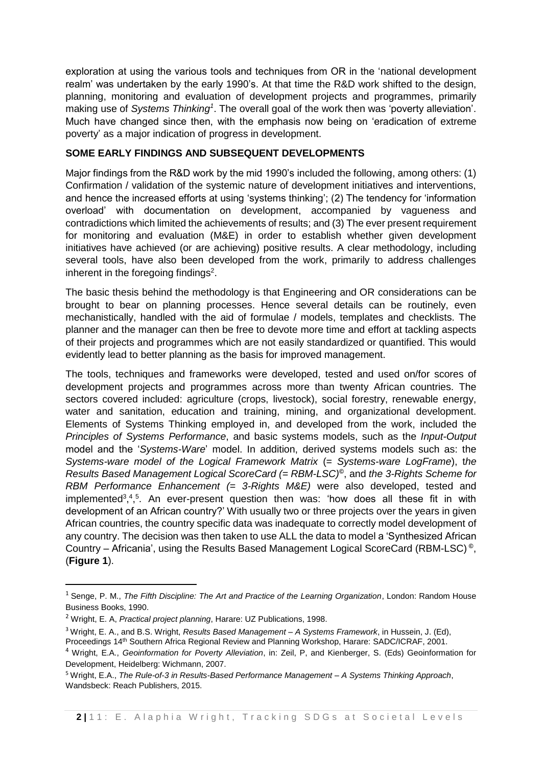exploration at using the various tools and techniques from OR in the 'national development realm' was undertaken by the early 1990's. At that time the R&D work shifted to the design, planning, monitoring and evaluation of development projects and programmes, primarily making use of *Systems Thinking<sup>1</sup>*. The overall goal of the work then was 'poverty alleviation'. Much have changed since then, with the emphasis now being on 'eradication of extreme poverty' as a major indication of progress in development.

# **SOME EARLY FINDINGS AND SUBSEQUENT DEVELOPMENTS**

Major findings from the R&D work by the mid 1990's included the following, among others: (1) Confirmation / validation of the systemic nature of development initiatives and interventions, and hence the increased efforts at using 'systems thinking'; (2) The tendency for 'information overload' with documentation on development, accompanied by vagueness and contradictions which limited the achievements of results; and (3) The ever present requirement for monitoring and evaluation (M&E) in order to establish whether given development initiatives have achieved (or are achieving) positive results. A clear methodology, including several tools, have also been developed from the work, primarily to address challenges inherent in the foregoing findings<sup>2</sup>.

The basic thesis behind the methodology is that Engineering and OR considerations can be brought to bear on planning processes. Hence several details can be routinely, even mechanistically, handled with the aid of formulae / models, templates and checklists. The planner and the manager can then be free to devote more time and effort at tackling aspects of their projects and programmes which are not easily standardized or quantified. This would evidently lead to better planning as the basis for improved management.

The tools, techniques and frameworks were developed, tested and used on/for scores of development projects and programmes across more than twenty African countries. The sectors covered included: agriculture (crops, livestock), social forestry, renewable energy, water and sanitation, education and training, mining, and organizational development. Elements of Systems Thinking employed in, and developed from the work, included the *Principles of Systems Performance*, and basic systems models, such as the *Input-Output* model and the '*Systems-Ware*' model. In addition, derived systems models such as: the *Systems-ware model of the Logical Framework Matrix* (= *Systems-ware LogFrame*), t*he Results Based Management Logical ScoreCard (= RBM-LSC)©* , and *the 3-Rights Scheme for RBM Performance Enhancement (= 3-Rights M&E)* were also developed, tested and implemented<sup>3,4,5</sup>. An ever-present question then was: 'how does all these fit in with development of an African country?' With usually two or three projects over the years in given African countries, the country specific data was inadequate to correctly model development of any country. The decision was then taken to use ALL the data to model a 'Synthesized African Country – Africania', using the Results Based Management Logical ScoreCard (RBM-LSC) **©** , (**Figure 1**).

1

<sup>1</sup> Senge, P. M., *The Fifth Discipline: The Art and Practice of the Learning Organization*, London: Random House Business Books, 1990.

<sup>2</sup> Wright, E. A, *Practical project planning*, Harare: UZ Publications, 1998.

<sup>3</sup> Wright, E. A., and B.S. Wright, *Results Based Management – A Systems Framework*, in Hussein, J. (Ed),

Proceedings 14th Southern Africa Regional Review and Planning Workshop, Harare: SADC/ICRAF, 2001.

<sup>4</sup> Wright, E.A., *Geoinformation for Poverty Alleviation*, in: Zeil, P, and Kienberger, S. (Eds) Geoinformation for Development, Heidelberg: Wichmann, 2007.

<sup>5</sup> Wright, E.A., *The Rule-of-3 in Results-Based Performance Management – A Systems Thinking Approach*, Wandsbeck: Reach Publishers, 2015.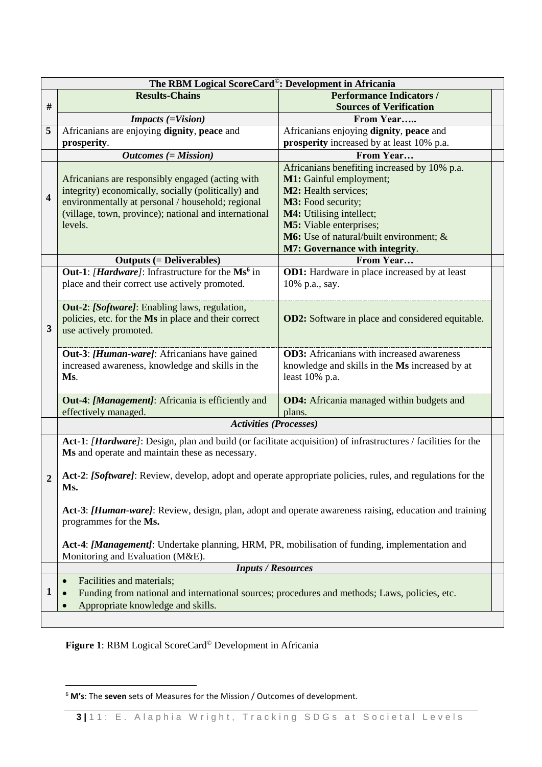| The RBM Logical ScoreCard <sup>®</sup> : Development in Africania                                                                                                |                                                                                                                                                                                                                                                                         |                                                         |  |  |  |
|------------------------------------------------------------------------------------------------------------------------------------------------------------------|-------------------------------------------------------------------------------------------------------------------------------------------------------------------------------------------------------------------------------------------------------------------------|---------------------------------------------------------|--|--|--|
|                                                                                                                                                                  | <b>Results-Chains</b>                                                                                                                                                                                                                                                   | <b>Performance Indicators /</b>                         |  |  |  |
| $\#$                                                                                                                                                             |                                                                                                                                                                                                                                                                         | <b>Sources of Verification</b>                          |  |  |  |
|                                                                                                                                                                  | <b>Impacts</b> (=Vision)                                                                                                                                                                                                                                                | From Year                                               |  |  |  |
| 5                                                                                                                                                                | Africanians are enjoying dignity, peace and                                                                                                                                                                                                                             | Africanians enjoying dignity, peace and                 |  |  |  |
|                                                                                                                                                                  | prosperity.                                                                                                                                                                                                                                                             | prosperity increased by at least 10% p.a.               |  |  |  |
|                                                                                                                                                                  | $Outcomes (= Mission)$                                                                                                                                                                                                                                                  | From Year                                               |  |  |  |
|                                                                                                                                                                  |                                                                                                                                                                                                                                                                         | Africanians benefiting increased by 10% p.a.            |  |  |  |
|                                                                                                                                                                  | Africanians are responsibly engaged (acting with                                                                                                                                                                                                                        | M1: Gainful employment;                                 |  |  |  |
| $\overline{\mathbf{4}}$                                                                                                                                          | integrity) economically, socially (politically) and                                                                                                                                                                                                                     | M2: Health services;                                    |  |  |  |
|                                                                                                                                                                  | environmentally at personal / household; regional                                                                                                                                                                                                                       | M3: Food security;                                      |  |  |  |
|                                                                                                                                                                  | (village, town, province); national and international                                                                                                                                                                                                                   | M4: Utilising intellect;                                |  |  |  |
|                                                                                                                                                                  | levels.                                                                                                                                                                                                                                                                 | M5: Viable enterprises;                                 |  |  |  |
|                                                                                                                                                                  |                                                                                                                                                                                                                                                                         | M6: Use of natural/built environment; &                 |  |  |  |
|                                                                                                                                                                  |                                                                                                                                                                                                                                                                         | <b>M7: Governance with integrity.</b>                   |  |  |  |
|                                                                                                                                                                  | <b>Outputs (= Deliverables)</b>                                                                                                                                                                                                                                         | From Year                                               |  |  |  |
|                                                                                                                                                                  | <b>Out-1:</b> [ <i>Hardware</i> ]: Infrastructure for the Ms <sup>6</sup> in                                                                                                                                                                                            | <b>OD1:</b> Hardware in place increased by at least     |  |  |  |
|                                                                                                                                                                  | place and their correct use actively promoted.                                                                                                                                                                                                                          | 10% p.a., say.                                          |  |  |  |
|                                                                                                                                                                  |                                                                                                                                                                                                                                                                         |                                                         |  |  |  |
|                                                                                                                                                                  | Out-2: [Software]: Enabling laws, regulation,                                                                                                                                                                                                                           |                                                         |  |  |  |
|                                                                                                                                                                  | policies, etc. for the Ms in place and their correct                                                                                                                                                                                                                    | <b>OD2:</b> Software in place and considered equitable. |  |  |  |
| 3                                                                                                                                                                | use actively promoted.                                                                                                                                                                                                                                                  |                                                         |  |  |  |
|                                                                                                                                                                  |                                                                                                                                                                                                                                                                         |                                                         |  |  |  |
|                                                                                                                                                                  | Out-3: [Human-ware]: Africanians have gained                                                                                                                                                                                                                            | <b>OD3:</b> Africanians with increased awareness        |  |  |  |
|                                                                                                                                                                  | increased awareness, knowledge and skills in the                                                                                                                                                                                                                        | knowledge and skills in the Ms increased by at          |  |  |  |
|                                                                                                                                                                  | Ms.                                                                                                                                                                                                                                                                     | least 10% p.a.                                          |  |  |  |
|                                                                                                                                                                  |                                                                                                                                                                                                                                                                         |                                                         |  |  |  |
|                                                                                                                                                                  | <b>Out-4:</b> [Management]: Africania is efficiently and                                                                                                                                                                                                                | <b>OD4:</b> Africania managed within budgets and        |  |  |  |
|                                                                                                                                                                  | effectively managed.                                                                                                                                                                                                                                                    | plans.                                                  |  |  |  |
|                                                                                                                                                                  | <b>Activities (Processes)</b>                                                                                                                                                                                                                                           |                                                         |  |  |  |
| Act-1: [Hardware]: Design, plan and build (or facilitate acquisition) of infrastructures / facilities for the<br>Ms and operate and maintain these as necessary. |                                                                                                                                                                                                                                                                         |                                                         |  |  |  |
|                                                                                                                                                                  |                                                                                                                                                                                                                                                                         |                                                         |  |  |  |
|                                                                                                                                                                  | Act-2: [Software]: Review, develop, adopt and operate appropriate policies, rules, and regulations for the<br>$\overline{2}$<br>Ms.<br>Act-3: [Human-ware]: Review, design, plan, adopt and operate awareness raising, education and training<br>programmes for the Ms. |                                                         |  |  |  |
|                                                                                                                                                                  |                                                                                                                                                                                                                                                                         |                                                         |  |  |  |
|                                                                                                                                                                  |                                                                                                                                                                                                                                                                         |                                                         |  |  |  |
|                                                                                                                                                                  |                                                                                                                                                                                                                                                                         |                                                         |  |  |  |
|                                                                                                                                                                  |                                                                                                                                                                                                                                                                         |                                                         |  |  |  |
|                                                                                                                                                                  |                                                                                                                                                                                                                                                                         |                                                         |  |  |  |
|                                                                                                                                                                  | Act-4: [Management]: Undertake planning, HRM, PR, mobilisation of funding, implementation and                                                                                                                                                                           |                                                         |  |  |  |
|                                                                                                                                                                  | Monitoring and Evaluation (M&E).                                                                                                                                                                                                                                        |                                                         |  |  |  |
|                                                                                                                                                                  | <b>Inputs / Resources</b>                                                                                                                                                                                                                                               |                                                         |  |  |  |
|                                                                                                                                                                  | Facilities and materials;<br>$\bullet$                                                                                                                                                                                                                                  |                                                         |  |  |  |
| 1                                                                                                                                                                | Funding from national and international sources; procedures and methods; Laws, policies, etc.                                                                                                                                                                           |                                                         |  |  |  |
|                                                                                                                                                                  | Appropriate knowledge and skills.                                                                                                                                                                                                                                       |                                                         |  |  |  |
|                                                                                                                                                                  |                                                                                                                                                                                                                                                                         |                                                         |  |  |  |

**Figure 1**: RBM Logical ScoreCard© Development in Africania

**.** 

<sup>6</sup> **M's**: The **seven** sets of Measures for the Mission / Outcomes of development.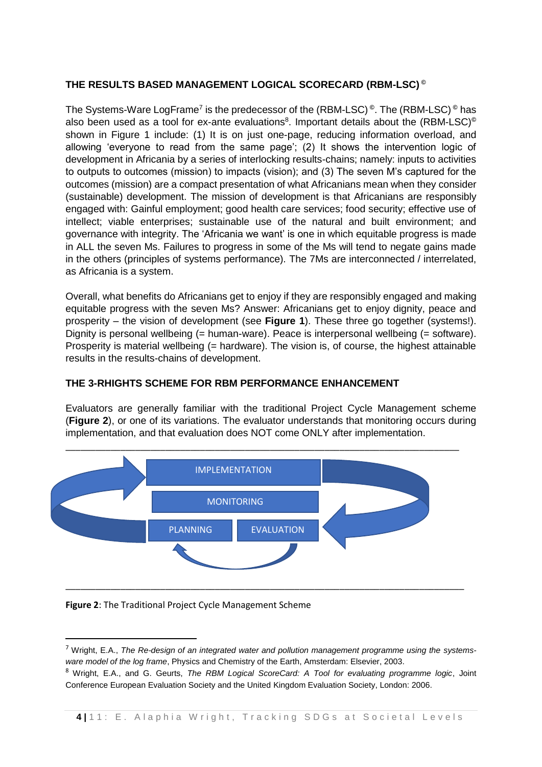# **THE RESULTS BASED MANAGEMENT LOGICAL SCORECARD (RBM-LSC) ©**

The Systems-Ware LogFrame<sup>7</sup> is the predecessor of the (RBM-LSC)<sup>©</sup>. The (RBM-LSC)<sup>©</sup> has also been used as a tool for ex-ante evaluations<sup>8</sup>. Important details about the (RBM-LSC)<sup>©</sup> shown in Figure 1 include: (1) It is on just one-page, reducing information overload, and allowing 'everyone to read from the same page'; (2) It shows the intervention logic of development in Africania by a series of interlocking results-chains; namely: inputs to activities to outputs to outcomes (mission) to impacts (vision); and (3) The seven M's captured for the outcomes (mission) are a compact presentation of what Africanians mean when they consider (sustainable) development. The mission of development is that Africanians are responsibly engaged with: Gainful employment; good health care services; food security; effective use of intellect; viable enterprises; sustainable use of the natural and built environment; and governance with integrity. The 'Africania we want' is one in which equitable progress is made in ALL the seven Ms. Failures to progress in some of the Ms will tend to negate gains made in the others (principles of systems performance). The 7Ms are interconnected / interrelated, as Africania is a system.

Overall, what benefits do Africanians get to enjoy if they are responsibly engaged and making equitable progress with the seven Ms? Answer: Africanians get to enjoy dignity, peace and prosperity – the vision of development (see **Figure 1**). These three go together (systems!). Dignity is personal wellbeing (= human-ware). Peace is interpersonal wellbeing (= software). Prosperity is material wellbeing (= hardware). The vision is, of course, the highest attainable results in the results-chains of development.

#### **THE 3-RHIGHTS SCHEME FOR RBM PERFORMANCE ENHANCEMENT**

Evaluators are generally familiar with the traditional Project Cycle Management scheme (**Figure 2**), or one of its variations. The evaluator understands that monitoring occurs during implementation, and that evaluation does NOT come ONLY after implementation.



#### **Figure 2**: The Traditional Project Cycle Management Scheme

**.** 

<sup>7</sup> Wright, E.A., *The Re-design of an integrated water and pollution management programme using the systemsware model of the log frame*, Physics and Chemistry of the Earth, Amsterdam: Elsevier, 2003.

<sup>8</sup> Wright, E.A., and G. Geurts, *The RBM Logical ScoreCard: A Tool for evaluating programme logic*, Joint Conference European Evaluation Society and the United Kingdom Evaluation Society, London: 2006.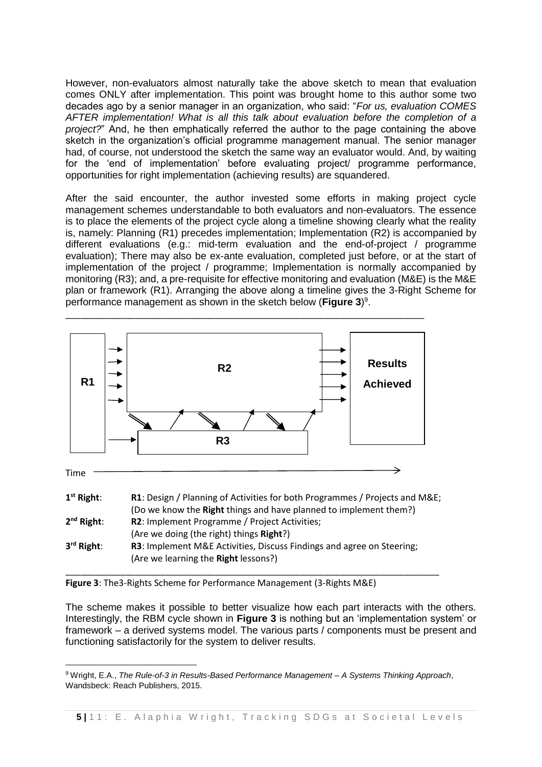However, non-evaluators almost naturally take the above sketch to mean that evaluation comes ONLY after implementation. This point was brought home to this author some two decades ago by a senior manager in an organization, who said: "*For us, evaluation COMES AFTER implementation! What is all this talk about evaluation before the completion of a project?*" And, he then emphatically referred the author to the page containing the above sketch in the organization's official programme management manual. The senior manager had, of course, not understood the sketch the same way an evaluator would. And, by waiting for the 'end of implementation' before evaluating project/ programme performance, opportunities for right implementation (achieving results) are squandered.

After the said encounter, the author invested some efforts in making project cycle management schemes understandable to both evaluators and non-evaluators. The essence is to place the elements of the project cycle along a timeline showing clearly what the reality is, namely: Planning (R1) precedes implementation; Implementation (R2) is accompanied by different evaluations (e.g.: mid-term evaluation and the end-of-project / programme evaluation); There may also be ex-ante evaluation, completed just before, or at the start of implementation of the project / programme; Implementation is normally accompanied by monitoring (R3); and, a pre-requisite for effective monitoring and evaluation (M&E) is the M&E plan or framework (R1). Arranging the above along a timeline gives the 3-Right Scheme for performance management as shown in the sketch below (**Figure 3**) 9 .



**Figure 3**: The3-Rights Scheme for Performance Management (3-Rights M&E)

**.** 

The scheme makes it possible to better visualize how each part interacts with the others. Interestingly, the RBM cycle shown in **Figure 3** is nothing but an 'implementation system' or framework – a derived systems model. The various parts / components must be present and functioning satisfactorily for the system to deliver results.

<sup>9</sup> Wright, E.A., *The Rule-of-3 in Results-Based Performance Management – A Systems Thinking Approach*, Wandsbeck: Reach Publishers, 2015.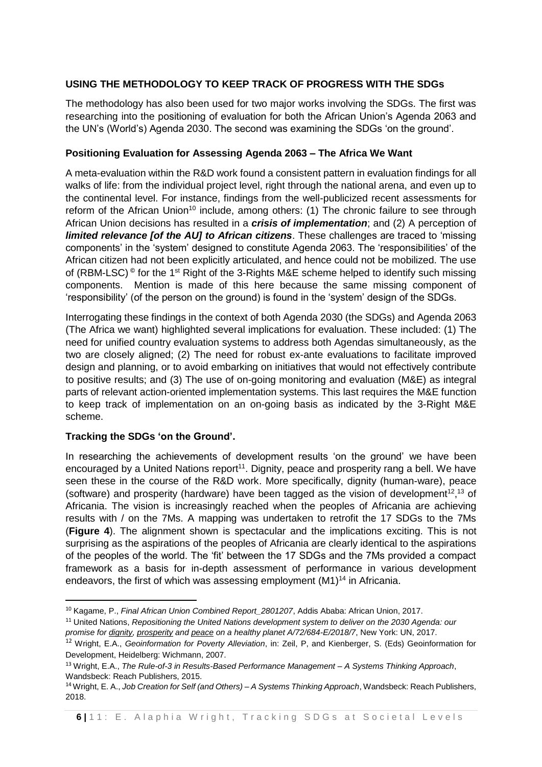# **USING THE METHODOLOGY TO KEEP TRACK OF PROGRESS WITH THE SDGs**

The methodology has also been used for two major works involving the SDGs. The first was researching into the positioning of evaluation for both the African Union's Agenda 2063 and the UN's (World's) Agenda 2030. The second was examining the SDGs 'on the ground'.

#### **Positioning Evaluation for Assessing Agenda 2063 – The Africa We Want**

A meta-evaluation within the R&D work found a consistent pattern in evaluation findings for all walks of life: from the individual project level, right through the national arena, and even up to the continental level. For instance, findings from the well-publicized recent assessments for reform of the African Union<sup>10</sup> include, among others: (1) The chronic failure to see through African Union decisions has resulted in a *crisis of implementation*; and (2) A perception of *limited relevance [of the AU] to African citizens*. These challenges are traced to 'missing components' in the 'system' designed to constitute Agenda 2063. The 'responsibilities' of the African citizen had not been explicitly articulated, and hence could not be mobilized. The use of (RBM-LSC)<sup>©</sup> for the 1<sup>st</sup> Right of the 3-Rights M&E scheme helped to identify such missing components. Mention is made of this here because the same missing component of 'responsibility' (of the person on the ground) is found in the 'system' design of the SDGs.

Interrogating these findings in the context of both Agenda 2030 (the SDGs) and Agenda 2063 (The Africa we want) highlighted several implications for evaluation. These included: (1) The need for unified country evaluation systems to address both Agendas simultaneously, as the two are closely aligned; (2) The need for robust ex-ante evaluations to facilitate improved design and planning, or to avoid embarking on initiatives that would not effectively contribute to positive results; and (3) The use of on-going monitoring and evaluation (M&E) as integral parts of relevant action-oriented implementation systems. This last requires the M&E function to keep track of implementation on an on-going basis as indicated by the 3-Right M&E scheme.

#### **Tracking the SDGs 'on the Ground'.**

In researching the achievements of development results 'on the ground' we have been encouraged by a United Nations report<sup>11</sup>. Dignity, peace and prosperity rang a bell. We have seen these in the course of the R&D work. More specifically, dignity (human-ware), peace (software) and prosperity (hardware) have been tagged as the vision of development<sup>12,13</sup> of Africania. The vision is increasingly reached when the peoples of Africania are achieving results with / on the 7Ms. A mapping was undertaken to retrofit the 17 SDGs to the 7Ms (**Figure 4**). The alignment shown is spectacular and the implications exciting. This is not surprising as the aspirations of the peoples of Africania are clearly identical to the aspirations of the peoples of the world. The 'fit' between the 17 SDGs and the 7Ms provided a compact framework as a basis for in-depth assessment of performance in various development endeavors, the first of which was assessing employment (M1)<sup>14</sup> in Africania.

**<sup>.</sup>** <sup>10</sup> Kagame, P., *Final African Union Combined Report\_2801207*, Addis Ababa: African Union, 2017.

<sup>&</sup>lt;sup>11</sup> United Nations, *Repositioning the United Nations development system to deliver on the 2030 Agenda: our promise for dignity, prosperity and peace on a healthy planet A/72/684-E/2018/7*, New York: UN, 2017.

<sup>12</sup> Wright, E.A., *Geoinformation for Poverty Alleviation*, in: Zeil, P, and Kienberger, S. (Eds) Geoinformation for Development, Heidelberg: Wichmann, 2007.

<sup>13</sup> Wright, E.A., *The Rule-of-3 in Results-Based Performance Management – A Systems Thinking Approach*, Wandsbeck: Reach Publishers, 2015.

<sup>14</sup> Wright, E. A., *Job Creation for Self (and Others) – A Systems Thinking Approach*, Wandsbeck: Reach Publishers, 2018.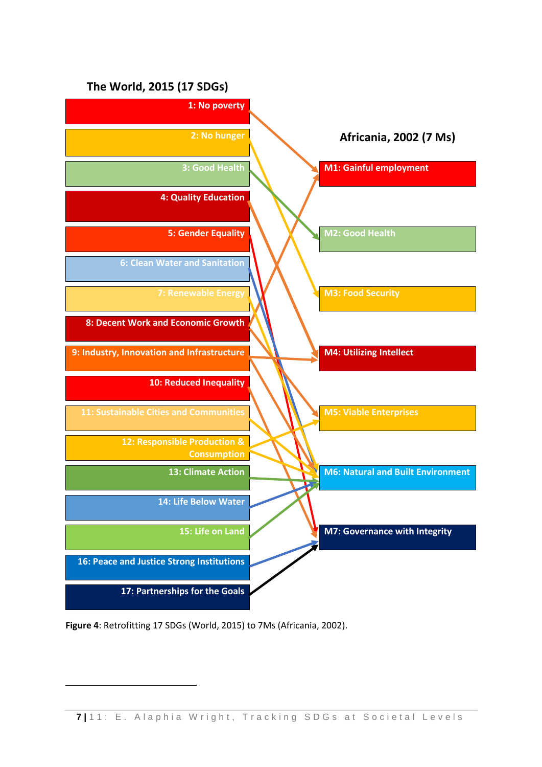

**Figure 4**: Retrofitting 17 SDGs (World, 2015) to 7Ms (Africania, 2002).

**.**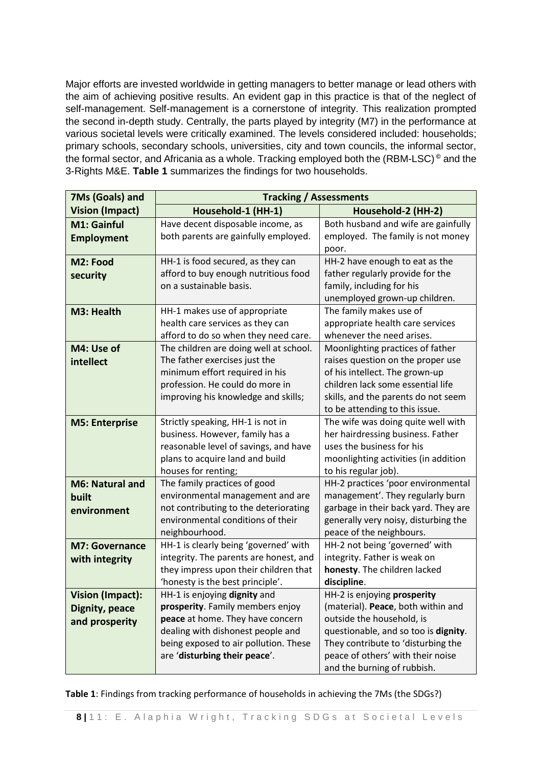Major efforts are invested worldwide in getting managers to better manage or lead others with the aim of achieving positive results. An evident gap in this practice is that of the neglect of self-management. Self-management is a cornerstone of integrity. This realization prompted the second in-depth study. Centrally, the parts played by integrity (M7) in the performance at various societal levels were critically examined. The levels considered included: households; primary schools, secondary schools, universities, city and town councils, the informal sector, the formal sector, and Africania as a whole. Tracking employed both the (RBM-LSC) **©** and the 3-Rights M&E. **Table 1** summarizes the findings for two households.

| 7Ms (Goals) and                                             | <b>Tracking / Assessments</b>                                                                                                                                                                                       |                                                                                                                                                                                                                                                  |  |
|-------------------------------------------------------------|---------------------------------------------------------------------------------------------------------------------------------------------------------------------------------------------------------------------|--------------------------------------------------------------------------------------------------------------------------------------------------------------------------------------------------------------------------------------------------|--|
| <b>Vision (Impact)</b>                                      | Household-1 (HH-1)                                                                                                                                                                                                  | Household-2 (HH-2)                                                                                                                                                                                                                               |  |
| M1: Gainful<br><b>Employment</b>                            | Have decent disposable income, as<br>both parents are gainfully employed.                                                                                                                                           | Both husband and wife are gainfully<br>employed. The family is not money<br>poor.                                                                                                                                                                |  |
| M2: Food<br>security                                        | HH-1 is food secured, as they can<br>afford to buy enough nutritious food<br>on a sustainable basis.                                                                                                                | HH-2 have enough to eat as the<br>father regularly provide for the<br>family, including for his<br>unemployed grown-up children.                                                                                                                 |  |
| M3: Health                                                  | HH-1 makes use of appropriate<br>health care services as they can<br>afford to do so when they need care.                                                                                                           | The family makes use of<br>appropriate health care services<br>whenever the need arises.                                                                                                                                                         |  |
| M4: Use of<br>intellect                                     | The children are doing well at school.<br>The father exercises just the<br>minimum effort required in his<br>profession. He could do more in<br>improving his knowledge and skills;                                 | Moonlighting practices of father<br>raises question on the proper use<br>of his intellect. The grown-up<br>children lack some essential life<br>skills, and the parents do not seem<br>to be attending to this issue.                            |  |
| <b>M5: Enterprise</b>                                       | Strictly speaking, HH-1 is not in<br>business. However, family has a<br>reasonable level of savings, and have<br>plans to acquire land and build<br>houses for renting;                                             | The wife was doing quite well with<br>her hairdressing business. Father<br>uses the business for his<br>moonlighting activities (in addition<br>to his regular job).                                                                             |  |
| <b>M6: Natural and</b><br>built<br>environment              | The family practices of good<br>environmental management and are<br>not contributing to the deteriorating<br>environmental conditions of their<br>neighbourhood.                                                    | HH-2 practices 'poor environmental<br>management'. They regularly burn<br>garbage in their back yard. They are<br>generally very noisy, disturbing the<br>peace of the neighbours.                                                               |  |
| <b>M7: Governance</b><br>with integrity                     | HH-1 is clearly being 'governed' with<br>integrity. The parents are honest, and<br>they impress upon their children that<br>'honesty is the best principle'.                                                        | HH-2 not being 'governed' with<br>integrity. Father is weak on<br>honesty. The children lacked<br>discipline.                                                                                                                                    |  |
| <b>Vision (Impact):</b><br>Dignity, peace<br>and prosperity | HH-1 is enjoying dignity and<br>prosperity. Family members enjoy<br>peace at home. They have concern<br>dealing with dishonest people and<br>being exposed to air pollution. These<br>are 'disturbing their peace'. | HH-2 is enjoying prosperity<br>(material). Peace, both within and<br>outside the household, is<br>questionable, and so too is dignity.<br>They contribute to 'disturbing the<br>peace of others' with their noise<br>and the burning of rubbish. |  |

**Table 1**: Findings from tracking performance of households in achieving the 7Ms (the SDGs?)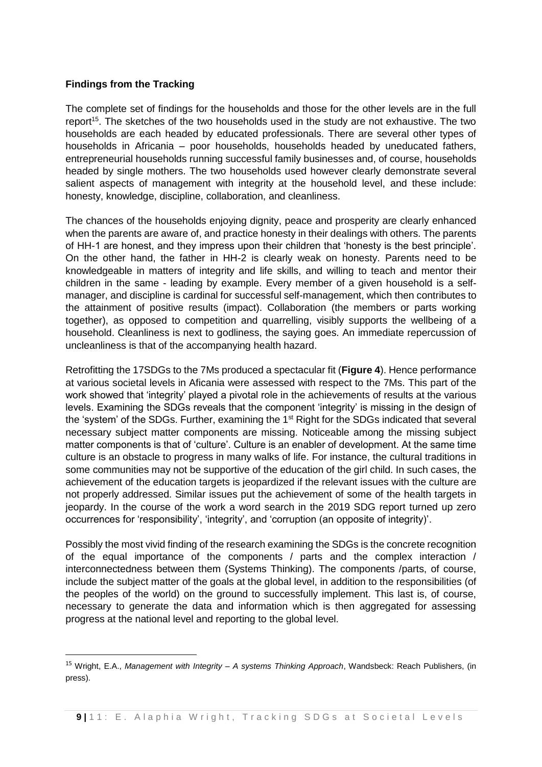#### **Findings from the Tracking**

1

The complete set of findings for the households and those for the other levels are in the full report<sup>15</sup>. The sketches of the two households used in the study are not exhaustive. The two households are each headed by educated professionals. There are several other types of households in Africania – poor households, households headed by uneducated fathers, entrepreneurial households running successful family businesses and, of course, households headed by single mothers. The two households used however clearly demonstrate several salient aspects of management with integrity at the household level, and these include: honesty, knowledge, discipline, collaboration, and cleanliness.

The chances of the households enjoying dignity, peace and prosperity are clearly enhanced when the parents are aware of, and practice honesty in their dealings with others. The parents of HH-1 are honest, and they impress upon their children that 'honesty is the best principle'. On the other hand, the father in HH-2 is clearly weak on honesty. Parents need to be knowledgeable in matters of integrity and life skills, and willing to teach and mentor their children in the same - leading by example. Every member of a given household is a selfmanager, and discipline is cardinal for successful self-management, which then contributes to the attainment of positive results (impact). Collaboration (the members or parts working together), as opposed to competition and quarrelling, visibly supports the wellbeing of a household. Cleanliness is next to godliness, the saying goes. An immediate repercussion of uncleanliness is that of the accompanying health hazard.

Retrofitting the 17SDGs to the 7Ms produced a spectacular fit (**Figure 4**). Hence performance at various societal levels in Aficania were assessed with respect to the 7Ms. This part of the work showed that 'integrity' played a pivotal role in the achievements of results at the various levels. Examining the SDGs reveals that the component 'integrity' is missing in the design of the 'system' of the SDGs. Further, examining the 1<sup>st</sup> Right for the SDGs indicated that several necessary subject matter components are missing. Noticeable among the missing subject matter components is that of 'culture'. Culture is an enabler of development. At the same time culture is an obstacle to progress in many walks of life. For instance, the cultural traditions in some communities may not be supportive of the education of the girl child. In such cases, the achievement of the education targets is jeopardized if the relevant issues with the culture are not properly addressed. Similar issues put the achievement of some of the health targets in jeopardy. In the course of the work a word search in the 2019 SDG report turned up zero occurrences for 'responsibility', 'integrity', and 'corruption (an opposite of integrity)'.

Possibly the most vivid finding of the research examining the SDGs is the concrete recognition of the equal importance of the components / parts and the complex interaction / interconnectedness between them (Systems Thinking). The components /parts, of course, include the subject matter of the goals at the global level, in addition to the responsibilities (of the peoples of the world) on the ground to successfully implement. This last is, of course, necessary to generate the data and information which is then aggregated for assessing progress at the national level and reporting to the global level.

<sup>15</sup> Wright, E.A., *Management with Integrity – A systems Thinking Approach*, Wandsbeck: Reach Publishers, (in press).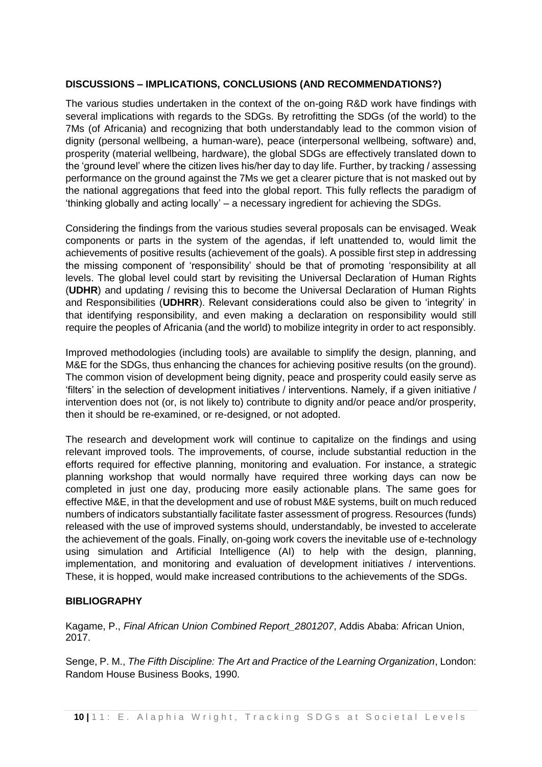### **DISCUSSIONS – IMPLICATIONS, CONCLUSIONS (AND RECOMMENDATIONS?)**

The various studies undertaken in the context of the on-going R&D work have findings with several implications with regards to the SDGs. By retrofitting the SDGs (of the world) to the 7Ms (of Africania) and recognizing that both understandably lead to the common vision of dignity (personal wellbeing, a human-ware), peace (interpersonal wellbeing, software) and, prosperity (material wellbeing, hardware), the global SDGs are effectively translated down to the 'ground level' where the citizen lives his/her day to day life. Further, by tracking / assessing performance on the ground against the 7Ms we get a clearer picture that is not masked out by the national aggregations that feed into the global report. This fully reflects the paradigm of 'thinking globally and acting locally' – a necessary ingredient for achieving the SDGs.

Considering the findings from the various studies several proposals can be envisaged. Weak components or parts in the system of the agendas, if left unattended to, would limit the achievements of positive results (achievement of the goals). A possible first step in addressing the missing component of 'responsibility' should be that of promoting 'responsibility at all levels. The global level could start by revisiting the Universal Declaration of Human Rights (**UDHR**) and updating / revising this to become the Universal Declaration of Human Rights and Responsibilities (**UDHRR**). Relevant considerations could also be given to 'integrity' in that identifying responsibility, and even making a declaration on responsibility would still require the peoples of Africania (and the world) to mobilize integrity in order to act responsibly.

Improved methodologies (including tools) are available to simplify the design, planning, and M&E for the SDGs, thus enhancing the chances for achieving positive results (on the ground). The common vision of development being dignity, peace and prosperity could easily serve as 'filters' in the selection of development initiatives / interventions. Namely, if a given initiative / intervention does not (or, is not likely to) contribute to dignity and/or peace and/or prosperity, then it should be re-examined, or re-designed, or not adopted.

The research and development work will continue to capitalize on the findings and using relevant improved tools. The improvements, of course, include substantial reduction in the efforts required for effective planning, monitoring and evaluation. For instance, a strategic planning workshop that would normally have required three working days can now be completed in just one day, producing more easily actionable plans. The same goes for effective M&E, in that the development and use of robust M&E systems, built on much reduced numbers of indicators substantially facilitate faster assessment of progress. Resources (funds) released with the use of improved systems should, understandably, be invested to accelerate the achievement of the goals. Finally, on-going work covers the inevitable use of e-technology using simulation and Artificial Intelligence (AI) to help with the design, planning, implementation, and monitoring and evaluation of development initiatives / interventions. These, it is hopped, would make increased contributions to the achievements of the SDGs.

#### **BIBLIOGRAPHY**

Kagame, P., *Final African Union Combined Report\_2801207*, Addis Ababa: African Union, 2017.

Senge, P. M., *The Fifth Discipline: The Art and Practice of the Learning Organization*, London: Random House Business Books, 1990.